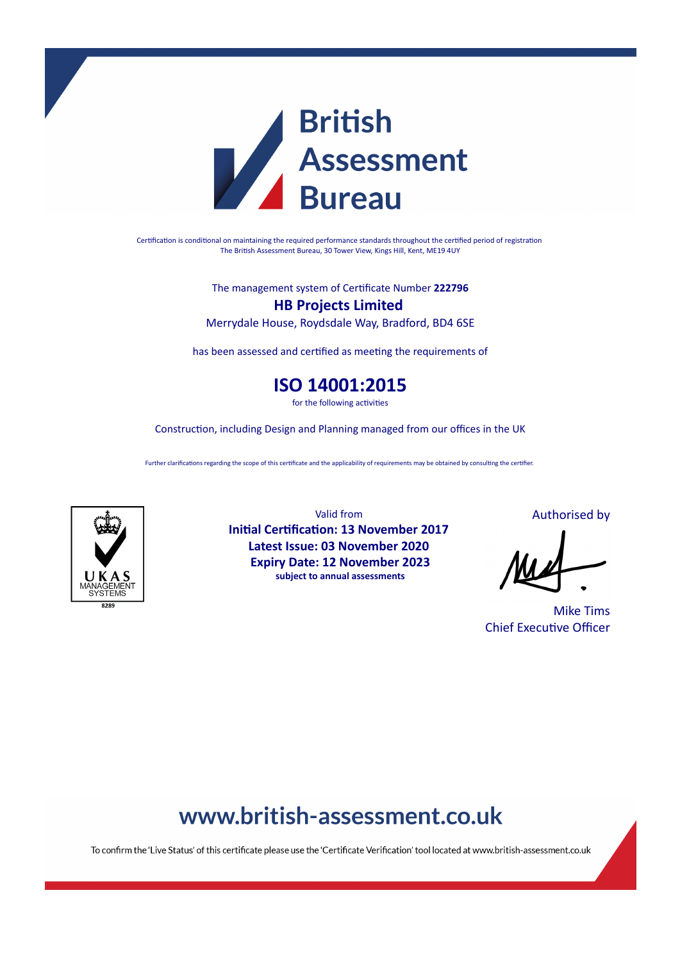

Certification is conditional on maintaining the required performance standards throughout the certified period of registration The British Assessment Bureau, 30 Tower View, Kings Hill, Kent, ME19 4UY

The management system of Cerficate Number **222796**

**HB Projects Limited** Merrydale House, Roydsdale Way, Bradford, BD4 6SE

has been assessed and certified as meeting the requirements of

**ISO 14001:2015**

for the following activities

Construction, including Design and Planning managed from our offices in the UK

Further clarifications regarding the scope of this certificate and the applicability of requirements may be obtained by consulting the certifier.



Valid from **Initial Certification: 13 November 2017 Latest Issue: 03 November 2020 Expiry Date: 12 November 2023 subject to annual assessments**

Authorised by

Mike Tims **Chief Executive Officer** 

## www.british-assessment.co.uk

To confirm the 'Live Status' of this certificate please use the 'Certificate Verification' tool located at www.british-assessment.co.uk